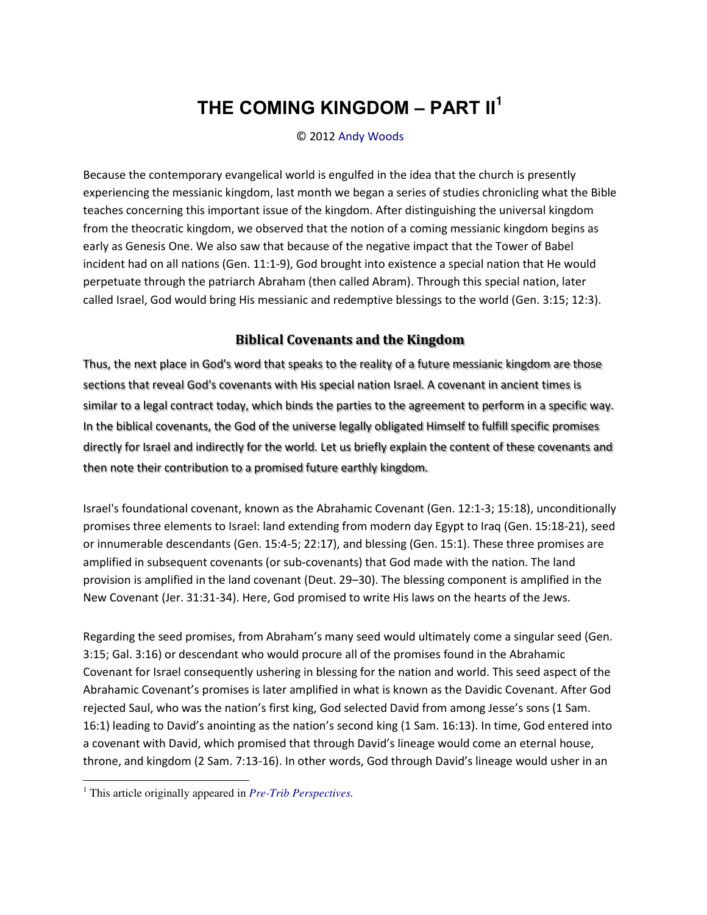# **THE COMING KINGDOM ‒ PART II<sup>1</sup>**

#### © 2012 [Andy Woods](http://www.spiritandtruth.org/id/aw.htm)

Because the contemporary evangelical world is engulfed in the idea that the church is presently experiencing the messianic kingdom, last month we began a series of studies chronicling what the Bible teaches concerning this important issue of the kingdom. After distinguishing the universal kingdom from the theocratic kingdom, we observed that the notion of a coming messianic kingdom begins as early as Genesis One. We also saw that because of the negative impact that the Tower of Babel incident had on all nations (Gen. 11:1-9), God brought into existence a special nation that He would perpetuate through the patriarch Abraham (then called Abram). Through this special nation, later called Israel, God would bring His messianic and redemptive blessings to the world (Gen. 3:15; 12:3).

### **Biblical Covenants and the Kingdom**

Thus, the next place in God's word that speaks to the reality of a future messianic kingdom are those sections that reveal God's covenants with His special nation Israel. A covenant in ancient times is similar to a legal contract today, which binds the parties to the agreement to perform in a specific way. In the biblical covenants, the God of the universe legally obligated Himself to fulfill specific promises directly for Israel and indirectly for the world. Let us briefly explain the content of these covenants and then note their contribution to a promised future earthly kingdom.

Israel's foundational covenant, known as the Abrahamic Covenant (Gen. 12:1-3; 15:18), unconditionally promises three elements to Israel: land extending from modern day Egypt to Iraq (Gen. 15:18-21), seed or innumerable descendants (Gen. 15:4-5; 22:17), and blessing (Gen. 15:1). These three promises are amplified in subsequent covenants (or sub-covenants) that God made with the nation. The land provision is amplified in the land covenant (Deut. 29–30). The blessing component is amplified in the New Covenant (Jer. 31:31-34). Here, God promised to write His laws on the hearts of the Jews.

Regarding the seed promises, from Abraham's many seed would ultimately come a singular seed (Gen. 3:15; Gal. 3:16) or descendant who would procure all of the promises found in the Abrahamic Covenant for Israel consequently ushering in blessing for the nation and world. This seed aspect of the Abrahamic Covenant's promises is later amplified in what is known as the Davidic Covenant. After God rejected Saul, who was the nation's first king, God selected David from among Jesse's sons (1 Sam. 16:1) leading to David's anointing as the nation's second king (1 Sam. 16:13). In time, God entered into a covenant with David, which promised that through David's lineage would come an eternal house, throne, and kingdom (2 Sam. 7:13-16). In other words, God through David's lineage would usher in an

 $\overline{a}$ 

<sup>1</sup> This article originally appeared in *[Pre-Trib Perspectives.](http://www.pre-trib.org/)*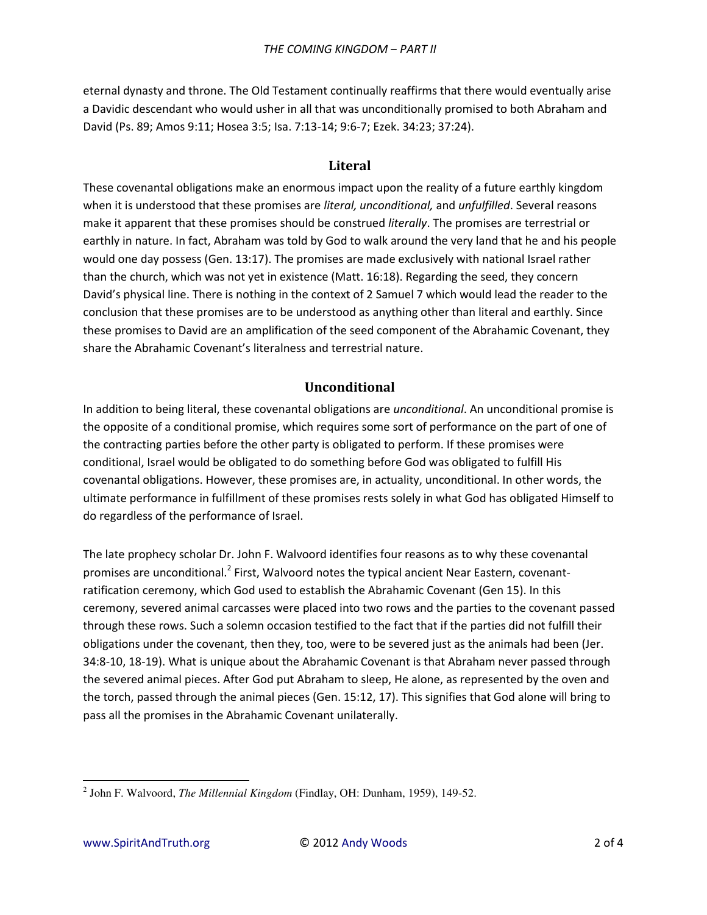eternal dynasty and throne. The Old Testament continually reaffirms that there would eventually arise a Davidic descendant who would usher in all that was unconditionally promised to both Abraham and David (Ps. 89; Amos 9:11; Hosea 3:5; Isa. 7:13-14; 9:6-7; Ezek. 34:23; 37:24).

#### **Literal**

These covenantal obligations make an enormous impact upon the reality of a future earthly kingdom when it is understood that these promises are *literal, unconditional,* and *unfulfilled*. Several reasons make it apparent that these promises should be construed *literally*. The promises are terrestrial or earthly in nature. In fact, Abraham was told by God to walk around the very land that he and his people would one day possess (Gen. 13:17). The promises are made exclusively with national Israel rather than the church, which was not yet in existence (Matt. 16:18). Regarding the seed, they concern David's physical line. There is nothing in the context of 2 Samuel 7 which would lead the reader to the conclusion that these promises are to be understood as anything other than literal and earthly. Since these promises to David are an amplification of the seed component of the Abrahamic Covenant, they share the Abrahamic Covenant's literalness and terrestrial nature.

# **Unconditional**

In addition to being literal, these covenantal obligations are *unconditional*. An unconditional promise is the opposite of a conditional promise, which requires some sort of performance on the part of one of the contracting parties before the other party is obligated to perform. If these promises were conditional, Israel would be obligated to do something before God was obligated to fulfill His covenantal obligations. However, these promises are, in actuality, unconditional. In other words, the ultimate performance in fulfillment of these promises rests solely in what God has obligated Himself to do regardless of the performance of Israel.

The late prophecy scholar Dr. John F. Walvoord identifies four reasons as to why these covenantal promises are unconditional.<sup>2</sup> First, Walvoord notes the typical ancient Near Eastern, covenantratification ceremony, which God used to establish the Abrahamic Covenant (Gen 15). In this ceremony, severed animal carcasses were placed into two rows and the parties to the covenant passed through these rows. Such a solemn occasion testified to the fact that if the parties did not fulfill their obligations under the covenant, then they, too, were to be severed just as the animals had been (Jer. 34:8-10, 18-19). What is unique about the Abrahamic Covenant is that Abraham never passed through the severed animal pieces. After God put Abraham to sleep, He alone, as represented by the oven and the torch, passed through the animal pieces (Gen. 15:12, 17). This signifies that God alone will bring to pass all the promises in the Abrahamic Covenant unilaterally.

 $\overline{a}$ 

<sup>2</sup> John F. Walvoord, *The Millennial Kingdom* (Findlay, OH: Dunham, 1959), 149-52.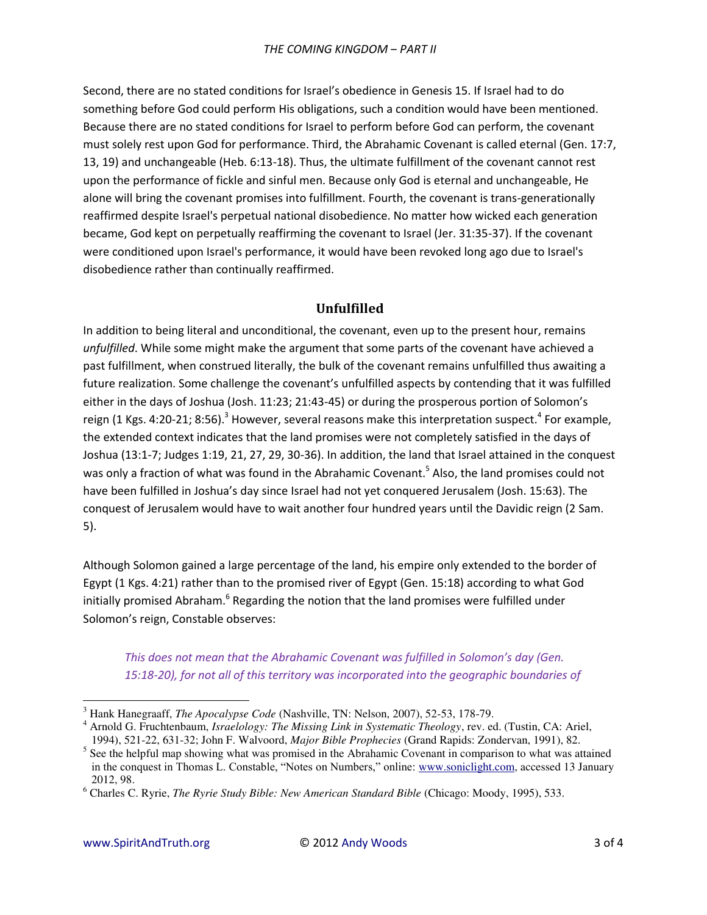Second, there are no stated conditions for Israel's obedience in Genesis 15. If Israel had to do something before God could perform His obligations, such a condition would have been mentioned. Because there are no stated conditions for Israel to perform before God can perform, the covenant must solely rest upon God for performance. Third, the Abrahamic Covenant is called eternal (Gen. 17:7, 13, 19) and unchangeable (Heb. 6:13-18). Thus, the ultimate fulfillment of the covenant cannot rest upon the performance of fickle and sinful men. Because only God is eternal and unchangeable, He alone will bring the covenant promises into fulfillment. Fourth, the covenant is trans-generationally reaffirmed despite Israel's perpetual national disobedience. No matter how wicked each generation became, God kept on perpetually reaffirming the covenant to Israel (Jer. 31:35-37). If the covenant were conditioned upon Israel's performance, it would have been revoked long ago due to Israel's disobedience rather than continually reaffirmed.

# **Unfulfilled**

In addition to being literal and unconditional, the covenant, even up to the present hour, remains unfulfilled. While some might make the argument that some parts of the covenant have achieved a past fulfillment, when construed literally, the bulk of the covenant remains unfulfilled thus awaiting a future realization. Some challenge the covenant's unfulfilled aspects by contending that it was fulfilled either in the days of Joshua (Josh. 11:23; 21:43-45) or during the prosperous portion of Solomon's reign (1 Kgs. 4:20-21; 8:56).<sup>3</sup> However, several reasons make this interpretation suspect.<sup>4</sup> For example, the extended context indicates that the land promises were not completely satisfied in the days of Joshua (13:1-7; Judges 1:19, 21, 27, 29, 30-36). In addition, the land that Israel attained in the conquest was only a fraction of what was found in the Abrahamic Covenant.<sup>5</sup> Also, the land promises could not have been fulfilled in Joshua's day since Israel had not yet conquered Jerusalem (Josh. 15:63). The conquest of Jerusalem would have to wait another four hundred years until the Davidic reign (2 Sam.  $5$ ).

Although Solomon gained a large percentage of the land, his empire only extended to the border of Egypt (1 Kgs. 4:21) rather than to the promised river of Egypt (Gen. 15:18) according to what God initially promised Abraham.<sup>6</sup> Regarding the notion that the land promises were fulfilled under Solomon's reign, Constable observes:

This does not mean that the Abrahamic Covenant was fulfilled in Solomon's day (Gen. 15:18-20), for not all of this territory was incorporated into the geographic boundaries of

 $3$  Hank Hanegraaff, *The Apocalypse Code* (Nashville, TN: Nelson, 2007), 52-53, 178-79.

<sup>&</sup>lt;sup>4</sup> Arnold G. Fruchtenbaum, *Israelology: The Missing Link in Systematic Theology*, rev. ed. (Tustin, CA: Ariel, 1994), 521-22, 631-32; John F. Walvoord, Major Bible Prophecies (Grand Rapids: Zondervan, 1991), 82.

 $5$  See the helpful map showing what was promised in the Abrahamic Covenant in comparison to what was attained in the conquest in Thomas L. Constable, "Notes on Numbers," online: www.soniclight.com, accessed 13 January 2012, 98.

 $6$  Charles C. Ryrie, The Ryrie Study Bible: New American Standard Bible (Chicago: Moody, 1995), 533.